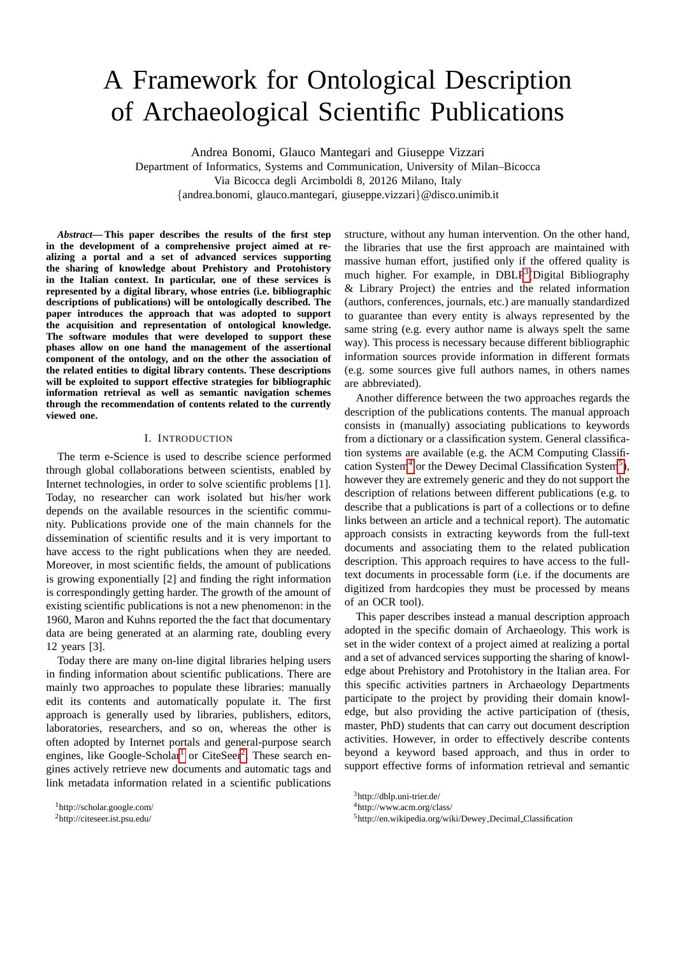# A Framework for Ontological Description of Archaeological Scientific Publications

Andrea Bonomi, Glauco Mantegari and Giuseppe Vizzari

Department of Informatics, Systems and Communication, University of Milan–Bicocca Via Bicocca degli Arcimboldi 8, 20126 Milano, Italy

{andrea.bonomi, glauco.mantegari, giuseppe.vizzari}@disco.unimib.it

*Abstract***— This paper describes the results of the first step in the development of a comprehensive project aimed at realizing a portal and a set of advanced services supporting the sharing of knowledge about Prehistory and Protohistory in the Italian context. In particular, one of these services is represented by a digital library, whose entries (i.e. bibliographic descriptions of publications) will be ontologically described. The paper introduces the approach that was adopted to support the acquisition and representation of ontological knowledge. The software modules that were developed to support these phases allow on one hand the management of the assertional component of the ontology, and on the other the association of the related entities to digital library contents. These descriptions will be exploited to support effective strategies for bibliographic information retrieval as well as semantic navigation schemes through the recommendation of contents related to the currently viewed one.**

### I. INTRODUCTION

The term e-Science is used to describe science performed through global collaborations between scientists, enabled by Internet technologies, in order to solve scientific problems [1]. Today, no researcher can work isolated but his/her work depends on the available resources in the scientific community. Publications provide one of the main channels for the dissemination of scientific results and it is very important to have access to the right publications when they are needed. Moreover, in most scientific fields, the amount of publications is growing exponentially [2] and finding the right information is correspondingly getting harder. The growth of the amount of existing scientific publications is not a new phenomenon: in the 1960, Maron and Kuhns reported the the fact that documentary data are being generated at an alarming rate, doubling every 12 years [3].

Today there are many on-line digital libraries helping users in finding information about scientific publications. There are mainly two approaches to populate these libraries: manually edit its contents and automatically populate it. The first approach is generally used by libraries, publishers, editors, laboratories, researchers, and so on, whereas the other is often adopted by Internet portals and general-purpose search engines, like Google-Scholar<sup>[1](#page-0-0)</sup> or CiteSeer<sup>[2](#page-0-1)</sup>. These search engines actively retrieve new documents and automatic tags and link metadata information related in a scientific publications

structure, without any human intervention. On the other hand, the libraries that use the first approach are maintained with massive human effort, justified only if the offered quality is much higher. For example, in DBLP<sup>[3](#page-0-2)</sup>(Digital Bibliography & Library Project) the entries and the related information (authors, conferences, journals, etc.) are manually standardized to guarantee than every entity is always represented by the same string (e.g. every author name is always spelt the same way). This process is necessary because different bibliographic information sources provide information in different formats (e.g. some sources give full authors names, in others names are abbreviated).

Another difference between the two approaches regards the description of the publications contents. The manual approach consists in (manually) associating publications to keywords from a dictionary or a classification system. General classification systems are available (e.g. the ACM Computing Classifi-cation System<sup>[4](#page-0-3)</sup> or the Dewey Decimal Classification System<sup>[5](#page-0-4)</sup>), however they are extremely generic and they do not support the description of relations between different publications (e.g. to describe that a publications is part of a collections or to define links between an article and a technical report). The automatic approach consists in extracting keywords from the full-text documents and associating them to the related publication description. This approach requires to have access to the fulltext documents in processable form (i.e. if the documents are digitized from hardcopies they must be processed by means of an OCR tool).

This paper describes instead a manual description approach adopted in the specific domain of Archaeology. This work is set in the wider context of a project aimed at realizing a portal and a set of advanced services supporting the sharing of knowledge about Prehistory and Protohistory in the Italian area. For this specific activities partners in Archaeology Departments participate to the project by providing their domain knowledge, but also providing the active participation of (thesis, master, PhD) students that can carry out document description activities. However, in order to effectively describe contents beyond a keyword based approach, and thus in order to support effective forms of information retrieval and semantic

<span id="page-0-0"></span><sup>1</sup>http://scholar.google.com/

<span id="page-0-1"></span><sup>2</sup>http://citeseer.ist.psu.edu/

<span id="page-0-2"></span><sup>3</sup>http://dblp.uni-trier.de/

<span id="page-0-3"></span><sup>4</sup>http://www.acm.org/class/

<span id="page-0-4"></span><sup>5</sup>http://en.wikipedia.org/wiki/Dewey Decimal Classification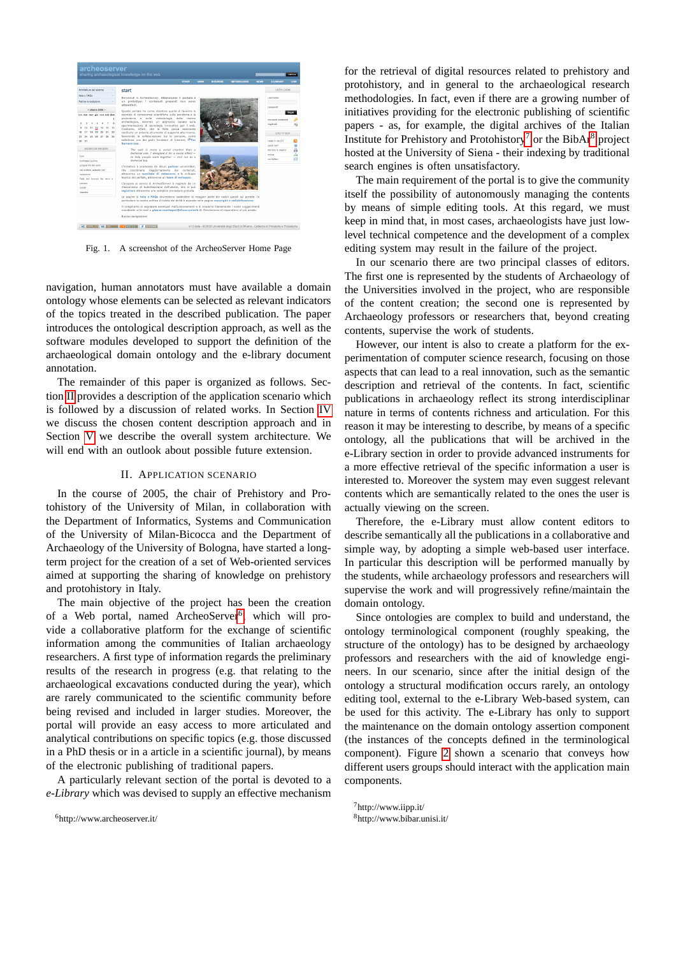

Fig. 1. A screenshot of the ArcheoServer Home Page

navigation, human annotators must have available a domain ontology whose elements can be selected as relevant indicators of the topics treated in the described publication. The paper introduces the ontological description approach, as well as the software modules developed to support the definition of the archaeological domain ontology and the e-library document annotation.

The remainder of this paper is organized as follows. Section [II](#page-1-0) provides a description of the application scenario which is followed by a discussion of related works. In Section [IV](#page-3-0) we discuss the chosen content description approach and in Section [V](#page-5-0) we describe the overall system architecture. We will end with an outlook about possible future extension.

# II. APPLICATION SCENARIO

<span id="page-1-0"></span>In the course of 2005, the chair of Prehistory and Protohistory of the University of Milan, in collaboration with the Department of Informatics, Systems and Communication of the University of Milan-Bicocca and the Department of Archaeology of the University of Bologna, have started a longterm project for the creation of a set of Web-oriented services aimed at supporting the sharing of knowledge on prehistory and protohistory in Italy.

The main objective of the project has been the creation of a Web portal, named ArcheoServer<sup>[6](#page-1-1)</sup>, which will provide a collaborative platform for the exchange of scientific information among the communities of Italian archaeology researchers. A first type of information regards the preliminary results of the research in progress (e.g. that relating to the archaeological excavations conducted during the year), which are rarely communicated to the scientific community before being revised and included in larger studies. Moreover, the portal will provide an easy access to more articulated and analytical contributions on specific topics (e.g. those discussed in a PhD thesis or in a article in a scientific journal), by means of the electronic publishing of traditional papers.

A particularly relevant section of the portal is devoted to a *e-Library* which was devised to supply an effective mechanism

<span id="page-1-1"></span><sup>6</sup>http://www.archeoserver.it/

for the retrieval of digital resources related to prehistory and protohistory, and in general to the archaeological research methodologies. In fact, even if there are a growing number of initiatives providing for the electronic publishing of scientific papers - as, for example, the digital archives of the Italian Institute for Prehistory and Protohistory<sup>[7](#page-1-2)</sup> or the BibAr<sup>[8](#page-1-3)</sup> project hosted at the University of Siena - their indexing by traditional search engines is often unsatisfactory.

The main requirement of the portal is to give the community itself the possibility of autonomously managing the contents by means of simple editing tools. At this regard, we must keep in mind that, in most cases, archaeologists have just lowlevel technical competence and the development of a complex editing system may result in the failure of the project.

In our scenario there are two principal classes of editors. The first one is represented by the students of Archaeology of the Universities involved in the project, who are responsible of the content creation; the second one is represented by Archaeology professors or researchers that, beyond creating contents, supervise the work of students.

However, our intent is also to create a platform for the experimentation of computer science research, focusing on those aspects that can lead to a real innovation, such as the semantic description and retrieval of the contents. In fact, scientific publications in archaeology reflect its strong interdisciplinar nature in terms of contents richness and articulation. For this reason it may be interesting to describe, by means of a specific ontology, all the publications that will be archived in the e-Library section in order to provide advanced instruments for a more effective retrieval of the specific information a user is interested to. Moreover the system may even suggest relevant contents which are semantically related to the ones the user is actually viewing on the screen.

Therefore, the e-Library must allow content editors to describe semantically all the publications in a collaborative and simple way, by adopting a simple web-based user interface. In particular this description will be performed manually by the students, while archaeology professors and researchers will supervise the work and will progressively refine/maintain the domain ontology.

Since ontologies are complex to build and understand, the ontology terminological component (roughly speaking, the structure of the ontology) has to be designed by archaeology professors and researchers with the aid of knowledge engineers. In our scenario, since after the initial design of the ontology a structural modification occurs rarely, an ontology editing tool, external to the e-Library Web-based system, can be used for this activity. The e-Library has only to support the maintenance on the domain ontology assertion component (the instances of the concepts defined in the terminological component). Figure [2](#page-2-0) shown a scenario that conveys how different users groups should interact with the application main components.

<span id="page-1-2"></span><sup>7</sup>http://www.iipp.it/

<span id="page-1-3"></span><sup>8</sup>http://www.bibar.unisi.it/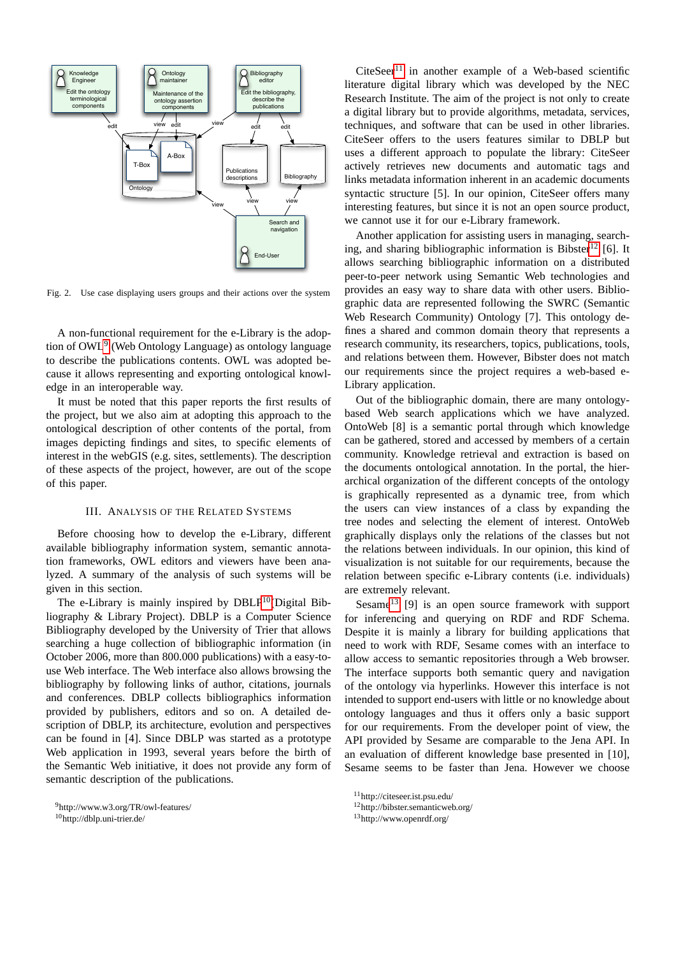

<span id="page-2-0"></span>Fig. 2. Use case displaying users groups and their actions over the system

A non-functional requirement for the e-Library is the adop-tion of OWL<sup>[9](#page-2-1)</sup> (Web Ontology Language) as ontology language to describe the publications contents. OWL was adopted because it allows representing and exporting ontological knowledge in an interoperable way.

It must be noted that this paper reports the first results of the project, but we also aim at adopting this approach to the ontological description of other contents of the portal, from images depicting findings and sites, to specific elements of interest in the webGIS (e.g. sites, settlements). The description of these aspects of the project, however, are out of the scope of this paper.

## III. ANALYSIS OF THE RELATED SYSTEMS

Before choosing how to develop the e-Library, different available bibliography information system, semantic annotation frameworks, OWL editors and viewers have been analyzed. A summary of the analysis of such systems will be given in this section.

The e-Library is mainly inspired by  $DBLP<sup>10</sup>(Digital Bib DBLP<sup>10</sup>(Digital Bib DBLP<sup>10</sup>(Digital Bib$ liography & Library Project). DBLP is a Computer Science Bibliography developed by the University of Trier that allows searching a huge collection of bibliographic information (in October 2006, more than 800.000 publications) with a easy-touse Web interface. The Web interface also allows browsing the bibliography by following links of author, citations, journals and conferences. DBLP collects bibliographics information provided by publishers, editors and so on. A detailed description of DBLP, its architecture, evolution and perspectives can be found in [4]. Since DBLP was started as a prototype Web application in 1993, several years before the birth of the Semantic Web initiative, it does not provide any form of semantic description of the publications.

 $CiteSeer<sup>11</sup>$  $CiteSeer<sup>11</sup>$  $CiteSeer<sup>11</sup>$  in another example of a Web-based scientific literature digital library which was developed by the NEC Research Institute. The aim of the project is not only to create a digital library but to provide algorithms, metadata, services, techniques, and software that can be used in other libraries. CiteSeer offers to the users features similar to DBLP but uses a different approach to populate the library: CiteSeer actively retrieves new documents and automatic tags and links metadata information inherent in an academic documents syntactic structure [5]. In our opinion, CiteSeer offers many interesting features, but since it is not an open source product, we cannot use it for our e-Library framework.

Another application for assisting users in managing, search-ing, and sharing bibliographic information is Bibster<sup>[12](#page-2-4)</sup> [6]. It allows searching bibliographic information on a distributed peer-to-peer network using Semantic Web technologies and provides an easy way to share data with other users. Bibliographic data are represented following the SWRC (Semantic Web Research Community) Ontology [7]. This ontology defines a shared and common domain theory that represents a research community, its researchers, topics, publications, tools, and relations between them. However, Bibster does not match our requirements since the project requires a web-based e-Library application.

Out of the bibliographic domain, there are many ontologybased Web search applications which we have analyzed. OntoWeb [8] is a semantic portal through which knowledge can be gathered, stored and accessed by members of a certain community. Knowledge retrieval and extraction is based on the documents ontological annotation. In the portal, the hierarchical organization of the different concepts of the ontology is graphically represented as a dynamic tree, from which the users can view instances of a class by expanding the tree nodes and selecting the element of interest. OntoWeb graphically displays only the relations of the classes but not the relations between individuals. In our opinion, this kind of visualization is not suitable for our requirements, because the relation between specific e-Library contents (i.e. individuals) are extremely relevant.

Sesame<sup>[13](#page-2-5)</sup> [9] is an open source framework with support for inferencing and querying on RDF and RDF Schema. Despite it is mainly a library for building applications that need to work with RDF, Sesame comes with an interface to allow access to semantic repositories through a Web browser. The interface supports both semantic query and navigation of the ontology via hyperlinks. However this interface is not intended to support end-users with little or no knowledge about ontology languages and thus it offers only a basic support for our requirements. From the developer point of view, the API provided by Sesame are comparable to the Jena API. In an evaluation of different knowledge base presented in [10], Sesame seems to be faster than Jena. However we choose

<span id="page-2-1"></span><sup>9</sup>http://www.w3.org/TR/owl-features/

<span id="page-2-2"></span><sup>10</sup>http://dblp.uni-trier.de/

<span id="page-2-3"></span><sup>11</sup>http://citeseer.ist.psu.edu/

<span id="page-2-4"></span><sup>12</sup>http://bibster.semanticweb.org/

<span id="page-2-5"></span><sup>13</sup>http://www.openrdf.org/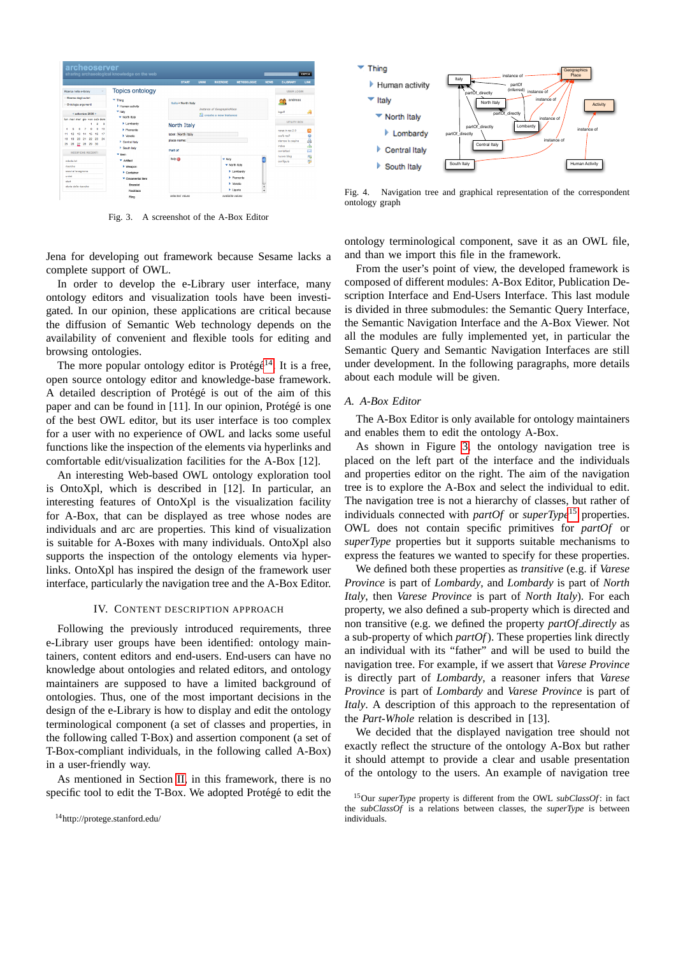

<span id="page-3-2"></span>Fig. 3. A screenshot of the A-Box Editor

Jena for developing out framework because Sesame lacks a complete support of OWL.

In order to develop the e-Library user interface, many ontology editors and visualization tools have been investigated. In our opinion, these applications are critical because the diffusion of Semantic Web technology depends on the availability of convenient and flexible tools for editing and browsing ontologies.

The more popular ontology editor is Protégé<sup>[14](#page-3-1)</sup>. It is a free, open source ontology editor and knowledge-base framework. A detailed description of Protégé is out of the aim of this paper and can be found in  $[11]$ . In our opinion, Protégé is one of the best OWL editor, but its user interface is too complex for a user with no experience of OWL and lacks some useful functions like the inspection of the elements via hyperlinks and comfortable edit/visualization facilities for the A-Box [12].

An interesting Web-based OWL ontology exploration tool is OntoXpl, which is described in [12]. In particular, an interesting features of OntoXpl is the visualization facility for A-Box, that can be displayed as tree whose nodes are individuals and arc are properties. This kind of visualization is suitable for A-Boxes with many individuals. OntoXpl also supports the inspection of the ontology elements via hyperlinks. OntoXpl has inspired the design of the framework user interface, particularly the navigation tree and the A-Box Editor.

## IV. CONTENT DESCRIPTION APPROACH

<span id="page-3-0"></span>Following the previously introduced requirements, three e-Library user groups have been identified: ontology maintainers, content editors and end-users. End-users can have no knowledge about ontologies and related editors, and ontology maintainers are supposed to have a limited background of ontologies. Thus, one of the most important decisions in the design of the e-Library is how to display and edit the ontology terminological component (a set of classes and properties, in the following called T-Box) and assertion component (a set of T-Box-compliant individuals, in the following called A-Box) in a user-friendly way.

As mentioned in Section [II,](#page-1-0) in this framework, there is no specific tool to edit the T-Box. We adopted Protégé to edit the



<span id="page-3-4"></span>Fig. 4. Navigation tree and graphical representation of the correspondent ontology graph

ontology terminological component, save it as an OWL file, and than we import this file in the framework.

From the user's point of view, the developed framework is composed of different modules: A-Box Editor, Publication Description Interface and End-Users Interface. This last module is divided in three submodules: the Semantic Query Interface, the Semantic Navigation Interface and the A-Box Viewer. Not all the modules are fully implemented yet, in particular the Semantic Query and Semantic Navigation Interfaces are still under development. In the following paragraphs, more details about each module will be given.

#### *A. A-Box Editor*

The A-Box Editor is only available for ontology maintainers and enables them to edit the ontology A-Box.

As shown in Figure [3,](#page-3-2) the ontology navigation tree is placed on the left part of the interface and the individuals and properties editor on the right. The aim of the navigation tree is to explore the A-Box and select the individual to edit. The navigation tree is not a hierarchy of classes, but rather of individuals connected with *partOf* or *superType*[15](#page-3-3) properties. OWL does not contain specific primitives for *partOf* or *superType* properties but it supports suitable mechanisms to express the features we wanted to specify for these properties.

We defined both these properties as *transitive* (e.g. if *Varese Province* is part of *Lombardy*, and *Lombardy* is part of *North Italy*, then *Varese Province* is part of *North Italy*). For each property, we also defined a sub-property which is directed and non transitive (e.g. we defined the property *partOf directly* as a sub-property of which *partOf*). These properties link directly an individual with its "father" and will be used to build the navigation tree. For example, if we assert that *Varese Province* is directly part of *Lombardy*, a reasoner infers that *Varese Province* is part of *Lombardy* and *Varese Province* is part of *Italy*. A description of this approach to the representation of the *Part-Whole* relation is described in [13].

We decided that the displayed navigation tree should not exactly reflect the structure of the ontology A-Box but rather it should attempt to provide a clear and usable presentation of the ontology to the users. An example of navigation tree

<span id="page-3-1"></span><sup>14</sup>http://protege.stanford.edu/

<span id="page-3-3"></span><sup>15</sup>Our *superType* property is different from the OWL *subClassOf* : in fact the *subClassOf* is a relations between classes, the *superType* is between individuals.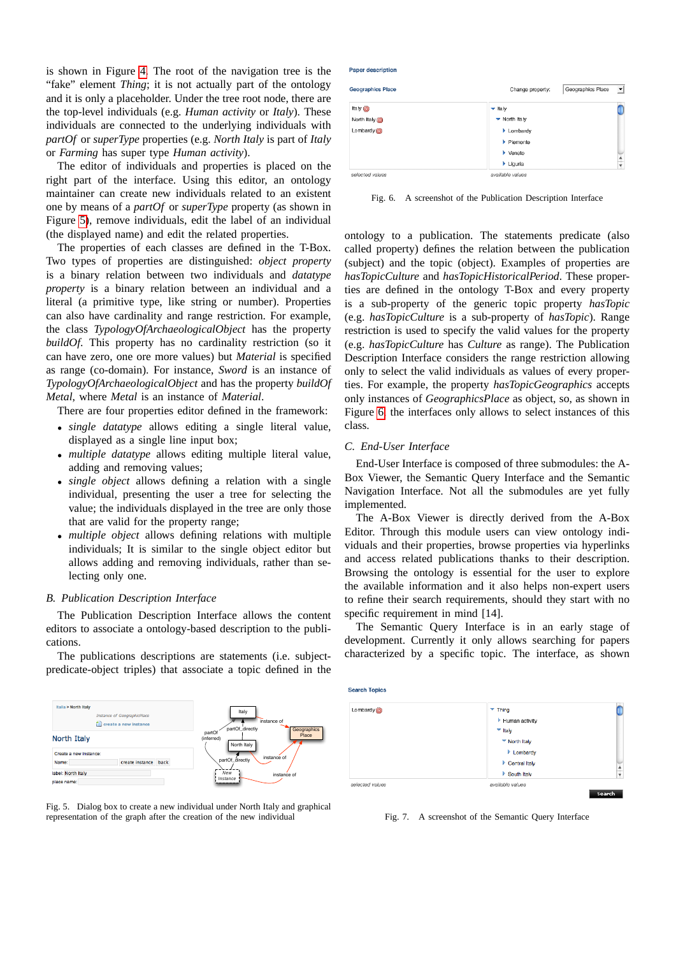is shown in Figure [4.](#page-3-4) The root of the navigation tree is the "fake" element *Thing*; it is not actually part of the ontology and it is only a placeholder. Under the tree root node, there are the top-level individuals (e.g. *Human activity* or *Italy*). These individuals are connected to the underlying individuals with *partOf* or *superType* properties (e.g. *North Italy* is part of *Italy* or *Farming* has super type *Human activity*).

The editor of individuals and properties is placed on the right part of the interface. Using this editor, an ontology maintainer can create new individuals related to an existent one by means of a *partOf* or *superType* property (as shown in Figure [5\)](#page-4-0), remove individuals, edit the label of an individual (the displayed name) and edit the related properties.

The properties of each classes are defined in the T-Box. Two types of properties are distinguished: *object property* is a binary relation between two individuals and *datatype property* is a binary relation between an individual and a literal (a primitive type, like string or number). Properties can also have cardinality and range restriction. For example, the class *TypologyOfArchaeologicalObject* has the property *buildOf*. This property has no cardinality restriction (so it can have zero, one ore more values) but *Material* is specified as range (co-domain). For instance, *Sword* is an instance of *TypologyOfArchaeologicalObject* and has the property *buildOf Metal*, where *Metal* is an instance of *Material*.

There are four properties editor defined in the framework:

- *single datatype* allows editing a single literal value, displayed as a single line input box;
- *multiple datatype* allows editing multiple literal value, adding and removing values;
- *single object* allows defining a relation with a single individual, presenting the user a tree for selecting the value; the individuals displayed in the tree are only those that are valid for the property range;
- *multiple object* allows defining relations with multiple individuals; It is similar to the single object editor but allows adding and removing individuals, rather than selecting only one.

## *B. Publication Description Interface*

The Publication Description Interface allows the content editors to associate a ontology-based description to the publications.

The publications descriptions are statements (i.e. subjectpredicate-object triples) that associate a topic defined in the



<span id="page-4-0"></span>

| <b>Geographics Place</b> | Geographics Place<br>Change property: | $\overline{ }$ |
|--------------------------|---------------------------------------|----------------|
| Italy $(x)$              | $\blacktriangleright$ Italy           |                |
| North Italy              | ▼ North Italy                         |                |
| Lombardy $(x)$           | Lombardy                              |                |
|                          | $\blacktriangleright$ Piemonte        |                |
|                          | $\blacktriangleright$ Veneto          |                |
|                          | $\blacktriangleright$ Liguria         | $\frac{4}{7}$  |
| selected values          | available values                      |                |

<span id="page-4-1"></span>Fig. 6. A screenshot of the Publication Description Interface

ontology to a publication. The statements predicate (also called property) defines the relation between the publication (subject) and the topic (object). Examples of properties are *hasTopicCulture* and *hasTopicHistoricalPeriod*. These properties are defined in the ontology T-Box and every property is a sub-property of the generic topic property *hasTopic* (e.g. *hasTopicCulture* is a sub-property of *hasTopic*). Range restriction is used to specify the valid values for the property (e.g. *hasTopicCulture* has *Culture* as range). The Publication Description Interface considers the range restriction allowing only to select the valid individuals as values of every properties. For example, the property *hasTopicGeographics* accepts only instances of *GeographicsPlace* as object, so, as shown in Figure [6,](#page-4-1) the interfaces only allows to select instances of this class.

# *C. End-User Interface*

**Paner description** 

End-User Interface is composed of three submodules: the A-Box Viewer, the Semantic Query Interface and the Semantic Navigation Interface. Not all the submodules are yet fully implemented.

The A-Box Viewer is directly derived from the A-Box Editor. Through this module users can view ontology individuals and their properties, browse properties via hyperlinks and access related publications thanks to their description. Browsing the ontology is essential for the user to explore the available information and it also helps non-expert users to refine their search requirements, should they start with no specific requirement in mind [14].

The Semantic Query Interface is in an early stage of development. Currently it only allows searching for papers characterized by a specific topic. The interface, as shown



<span id="page-4-2"></span>Fig. 7. A screenshot of the Semantic Query Interface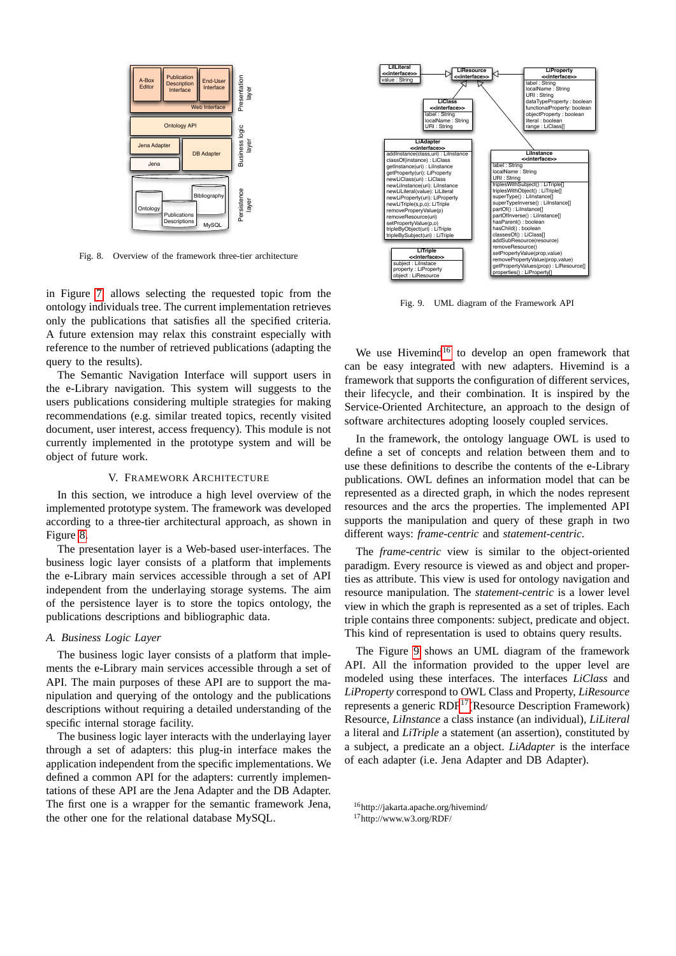

<span id="page-5-1"></span>Fig. 8. Overview of the framework three-tier architecture

in Figure [7,](#page-4-2) allows selecting the requested topic from the ontology individuals tree. The current implementation retrieves only the publications that satisfies all the specified criteria. A future extension may relax this constraint especially with reference to the number of retrieved publications (adapting the query to the results).

The Semantic Navigation Interface will support users in the e-Library navigation. This system will suggests to the users publications considering multiple strategies for making recommendations (e.g. similar treated topics, recently visited document, user interest, access frequency). This module is not currently implemented in the prototype system and will be object of future work.

## V. FRAMEWORK ARCHITECTURE

<span id="page-5-0"></span>In this section, we introduce a high level overview of the implemented prototype system. The framework was developed according to a three-tier architectural approach, as shown in Figure [8.](#page-5-1)

The presentation layer is a Web-based user-interfaces. The business logic layer consists of a platform that implements the e-Library main services accessible through a set of API independent from the underlaying storage systems. The aim of the persistence layer is to store the topics ontology, the publications descriptions and bibliographic data.

# *A. Business Logic Layer*

The business logic layer consists of a platform that implements the e-Library main services accessible through a set of API. The main purposes of these API are to support the manipulation and querying of the ontology and the publications descriptions without requiring a detailed understanding of the specific internal storage facility.

The business logic layer interacts with the underlaying layer through a set of adapters: this plug-in interface makes the application independent from the specific implementations. We defined a common API for the adapters: currently implementations of these API are the Jena Adapter and the DB Adapter. The first one is a wrapper for the semantic framework Jena, the other one for the relational database MySQL.



<span id="page-5-3"></span>Fig. 9. UML diagram of the Framework API

We use Hivemind<sup>[16](#page-5-2)</sup> to develop an open framework that can be easy integrated with new adapters. Hivemind is a framework that supports the configuration of different services, their lifecycle, and their combination. It is inspired by the Service-Oriented Architecture, an approach to the design of software architectures adopting loosely coupled services.

In the framework, the ontology language OWL is used to define a set of concepts and relation between them and to use these definitions to describe the contents of the e-Library publications. OWL defines an information model that can be represented as a directed graph, in which the nodes represent resources and the arcs the properties. The implemented API supports the manipulation and query of these graph in two different ways: *frame-centric* and *statement-centric*.

The *frame-centric* view is similar to the object-oriented paradigm. Every resource is viewed as and object and properties as attribute. This view is used for ontology navigation and resource manipulation. The *statement-centric* is a lower level view in which the graph is represented as a set of triples. Each triple contains three components: subject, predicate and object. This kind of representation is used to obtains query results.

The Figure [9](#page-5-3) shows an UML diagram of the framework API. All the information provided to the upper level are modeled using these interfaces. The interfaces *LiClass* and *LiProperty* correspond to OWL Class and Property, *LiResource* represents a generic RDF[17](#page-5-4)(Resource Description Framework) Resource, *LiInstance* a class instance (an individual), *LiLiteral* a literal and *LiTriple* a statement (an assertion), constituted by a subject, a predicate an a object. *LiAdapter* is the interface of each adapter (i.e. Jena Adapter and DB Adapter).

<span id="page-5-2"></span><sup>16</sup>http://jakarta.apache.org/hivemind/

<span id="page-5-4"></span><sup>17</sup>http://www.w3.org/RDF/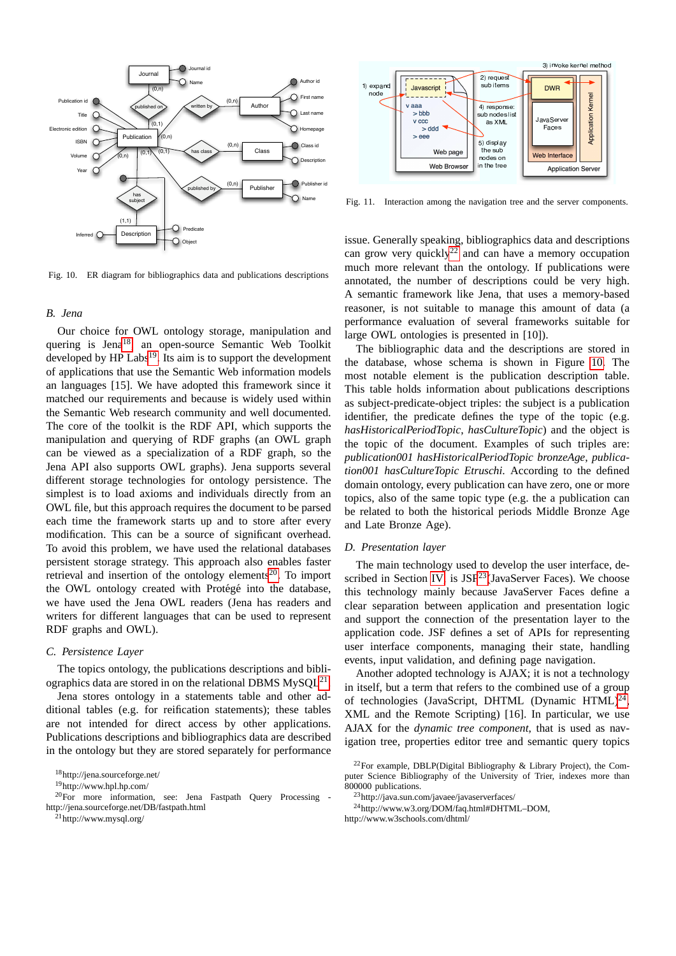



<span id="page-6-8"></span>Fig. 11. Interaction among the navigation tree and the server components.

<span id="page-6-5"></span>Fig. 10. ER diagram for bibliographics data and publications descriptions

#### *B. Jena*

Our choice for OWL ontology storage, manipulation and quering is Jena<sup>[18](#page-6-0)</sup>, an open-source Semantic Web Toolkit developed by HP Labs<sup>[19](#page-6-1)</sup>. Its aim is to support the development of applications that use the Semantic Web information models an languages [15]. We have adopted this framework since it matched our requirements and because is widely used within the Semantic Web research community and well documented. The core of the toolkit is the RDF API, which supports the manipulation and querying of RDF graphs (an OWL graph can be viewed as a specialization of a RDF graph, so the Jena API also supports OWL graphs). Jena supports several different storage technologies for ontology persistence. The simplest is to load axioms and individuals directly from an OWL file, but this approach requires the document to be parsed each time the framework starts up and to store after every modification. This can be a source of significant overhead. To avoid this problem, we have used the relational databases persistent storage strategy. This approach also enables faster retrieval and insertion of the ontology elements<sup>[20](#page-6-2)</sup>. To import the OWL ontology created with Protégé into the database, we have used the Jena OWL readers (Jena has readers and writers for different languages that can be used to represent RDF graphs and OWL).

# *C. Persistence Layer*

The topics ontology, the publications descriptions and bibliographics data are stored in on the relational DBMS  $MySQL^{21}$  $MySQL^{21}$  $MySQL^{21}$ .

Jena stores ontology in a statements table and other additional tables (e.g. for reification statements); these tables are not intended for direct access by other applications. Publications descriptions and bibliographics data are described in the ontology but they are stored separately for performance

<span id="page-6-3"></span><sup>21</sup>http://www.mysql.org/

issue. Generally speaking, bibliographics data and descriptions can grow very quickly<sup>[22](#page-6-4)</sup> and can have a memory occupation much more relevant than the ontology. If publications were annotated, the number of descriptions could be very high. A semantic framework like Jena, that uses a memory-based reasoner, is not suitable to manage this amount of data (a performance evaluation of several frameworks suitable for large OWL ontologies is presented in [10]).

The bibliographic data and the descriptions are stored in the database, whose schema is shown in Figure [10.](#page-6-5) The most notable element is the publication description table. This table holds information about publications descriptions as subject-predicate-object triples: the subject is a publication identifier, the predicate defines the type of the topic (e.g. *hasHistoricalPeriodTopic*, *hasCultureTopic*) and the object is the topic of the document. Examples of such triples are: *publication001 hasHistoricalPeriodTopic bronzeAge*, *publication001 hasCultureTopic Etruschi*. According to the defined domain ontology, every publication can have zero, one or more topics, also of the same topic type (e.g. the a publication can be related to both the historical periods Middle Bronze Age and Late Bronze Age).

#### *D. Presentation layer*

The main technology used to develop the user interface, de-scribed in Section [IV,](#page-3-0) is  $JSF^{23}(JavaServer$  $JSF^{23}(JavaServer$  $JSF^{23}(JavaServer$  Faces). We choose this technology mainly because JavaServer Faces define a clear separation between application and presentation logic and support the connection of the presentation layer to the application code. JSF defines a set of APIs for representing user interface components, managing their state, handling events, input validation, and defining page navigation.

Another adopted technology is AJAX; it is not a technology in itself, but a term that refers to the combined use of a group of technologies (JavaScript, DHTML (Dynamic HTML)<sup>[24](#page-6-7)</sup>, XML and the Remote Scripting) [16]. In particular, we use AJAX for the *dynamic tree component*, that is used as navigation tree, properties editor tree and semantic query topics

<span id="page-6-0"></span><sup>18</sup>http://jena.sourceforge.net/

<span id="page-6-2"></span><span id="page-6-1"></span><sup>19</sup>http://www.hpl.hp.com/

 $^{20}$ For more information, see: Jena Fastpath Query Processing http://jena.sourceforge.net/DB/fastpath.html

<span id="page-6-4"></span><sup>&</sup>lt;sup>22</sup>For example, DBLP(Digital Bibliography & Library Project), the Computer Science Bibliography of the University of Trier, indexes more than 800000 publications.

<span id="page-6-7"></span><span id="page-6-6"></span><sup>&</sup>lt;sup>3</sup>http://java.sun.com/javaee/javaserverfaces/

<sup>24</sup>http://www.w3.org/DOM/faq.html#DHTML–DOM, http://www.w3schools.com/dhtml/